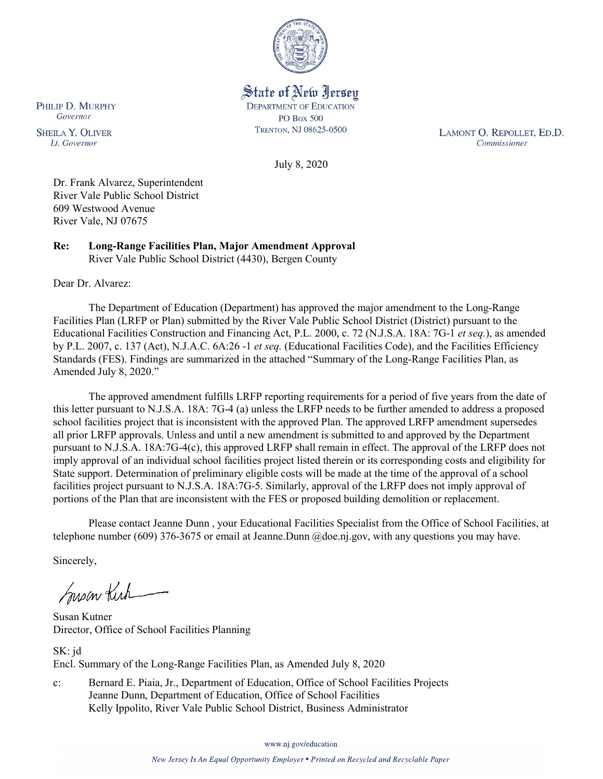

State of New Jersey **DEPARTMENT OF EDUCATION PO Box 500** TRENTON, NJ 08625-0500

LAMONT O. REPOLLET, ED.D. Commissioner

July 8, 2020

Dr. Frank Alvarez, Superintendent River Vale Public School District 609 Westwood Avenue River Vale, NJ 07675

**Re: Long-Range Facilities Plan, Major Amendment Approval** River Vale Public School District (4430), Bergen County

Dear Dr. Alvarez:

The Department of Education (Department) has approved the major amendment to the Long-Range Facilities Plan (LRFP or Plan) submitted by the River Vale Public School District (District) pursuant to the Educational Facilities Construction and Financing Act, P.L. 2000, c. 72 (N.J.S.A. 18A: 7G-1 *et seq.*), as amended by P.L. 2007, c. 137 (Act), N.J.A.C. 6A:26 -1 *et seq.* (Educational Facilities Code), and the Facilities Efficiency Standards (FES). Findings are summarized in the attached "Summary of the Long-Range Facilities Plan, as Amended July 8, 2020."

The approved amendment fulfills LRFP reporting requirements for a period of five years from the date of this letter pursuant to N.J.S.A. 18A: 7G-4 (a) unless the LRFP needs to be further amended to address a proposed school facilities project that is inconsistent with the approved Plan. The approved LRFP amendment supersedes all prior LRFP approvals. Unless and until a new amendment is submitted to and approved by the Department pursuant to N.J.S.A. 18A:7G-4(c), this approved LRFP shall remain in effect. The approval of the LRFP does not imply approval of an individual school facilities project listed therein or its corresponding costs and eligibility for State support. Determination of preliminary eligible costs will be made at the time of the approval of a school facilities project pursuant to N.J.S.A. 18A:7G-5. Similarly, approval of the LRFP does not imply approval of portions of the Plan that are inconsistent with the FES or proposed building demolition or replacement.

Please contact Jeanne Dunn , your Educational Facilities Specialist from the Office of School Facilities, at telephone number (609) 376-3675 or email at Jeanne.Dunn @doe.nj.gov, with any questions you may have.

Sincerely,

Susan Kich

Susan Kutner Director, Office of School Facilities Planning

SK: jd Encl. Summary of the Long-Range Facilities Plan, as Amended July 8, 2020

c: Bernard E. Piaia, Jr., Department of Education, Office of School Facilities Projects Jeanne Dunn, Department of Education, Office of School Facilities Kelly Ippolito, River Vale Public School District, Business Administrator

www.nj.gov/education

PHILIP D. MURPHY Governor

**SHEILA Y. OLIVER** Lt. Governor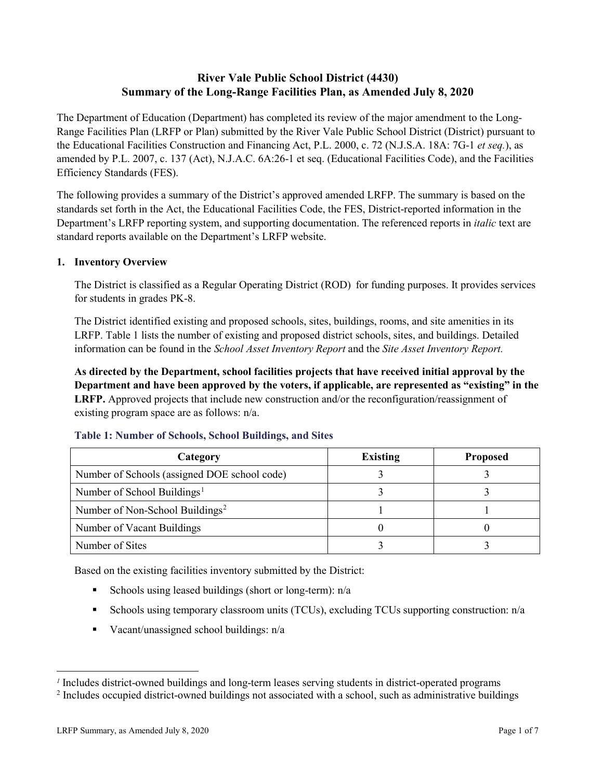# **River Vale Public School District (4430) Summary of the Long-Range Facilities Plan, as Amended July 8, 2020**

The Department of Education (Department) has completed its review of the major amendment to the Long-Range Facilities Plan (LRFP or Plan) submitted by the River Vale Public School District (District) pursuant to the Educational Facilities Construction and Financing Act, P.L. 2000, c. 72 (N.J.S.A. 18A: 7G-1 *et seq.*), as amended by P.L. 2007, c. 137 (Act), N.J.A.C. 6A:26-1 et seq. (Educational Facilities Code), and the Facilities Efficiency Standards (FES).

The following provides a summary of the District's approved amended LRFP. The summary is based on the standards set forth in the Act, the Educational Facilities Code, the FES, District-reported information in the Department's LRFP reporting system, and supporting documentation. The referenced reports in *italic* text are standard reports available on the Department's LRFP website.

# **1. Inventory Overview**

The District is classified as a Regular Operating District (ROD) for funding purposes. It provides services for students in grades PK-8.

The District identified existing and proposed schools, sites, buildings, rooms, and site amenities in its LRFP. Table 1 lists the number of existing and proposed district schools, sites, and buildings. Detailed information can be found in the *School Asset Inventory Report* and the *Site Asset Inventory Report.*

**As directed by the Department, school facilities projects that have received initial approval by the Department and have been approved by the voters, if applicable, are represented as "existing" in the LRFP.** Approved projects that include new construction and/or the reconfiguration/reassignment of existing program space are as follows: n/a.

| Category                                     | <b>Existing</b> | <b>Proposed</b> |
|----------------------------------------------|-----------------|-----------------|
| Number of Schools (assigned DOE school code) |                 |                 |
| Number of School Buildings <sup>1</sup>      |                 |                 |
| Number of Non-School Buildings <sup>2</sup>  |                 |                 |
| Number of Vacant Buildings                   |                 |                 |
| Number of Sites                              |                 |                 |

#### **Table 1: Number of Schools, School Buildings, and Sites**

Based on the existing facilities inventory submitted by the District:

- Schools using leased buildings (short or long-term):  $n/a$
- Schools using temporary classroom units (TCUs), excluding TCUs supporting construction: n/a
- Vacant/unassigned school buildings:  $n/a$

 $\overline{a}$ 

<span id="page-1-0"></span>*<sup>1</sup>* Includes district-owned buildings and long-term leases serving students in district-operated programs

<span id="page-1-1"></span><sup>&</sup>lt;sup>2</sup> Includes occupied district-owned buildings not associated with a school, such as administrative buildings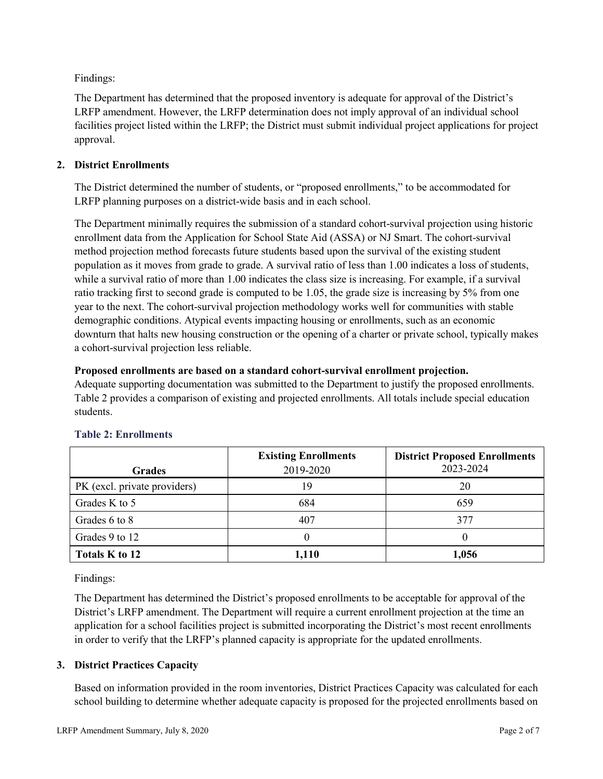Findings:

The Department has determined that the proposed inventory is adequate for approval of the District's LRFP amendment. However, the LRFP determination does not imply approval of an individual school facilities project listed within the LRFP; the District must submit individual project applications for project approval.

# **2. District Enrollments**

The District determined the number of students, or "proposed enrollments," to be accommodated for LRFP planning purposes on a district-wide basis and in each school.

The Department minimally requires the submission of a standard cohort-survival projection using historic enrollment data from the Application for School State Aid (ASSA) or NJ Smart. The cohort-survival method projection method forecasts future students based upon the survival of the existing student population as it moves from grade to grade. A survival ratio of less than 1.00 indicates a loss of students, while a survival ratio of more than 1.00 indicates the class size is increasing. For example, if a survival ratio tracking first to second grade is computed to be 1.05, the grade size is increasing by 5% from one year to the next. The cohort-survival projection methodology works well for communities with stable demographic conditions. Atypical events impacting housing or enrollments, such as an economic downturn that halts new housing construction or the opening of a charter or private school, typically makes a cohort-survival projection less reliable.

### **Proposed enrollments are based on a standard cohort-survival enrollment projection.**

Adequate supporting documentation was submitted to the Department to justify the proposed enrollments. Table 2 provides a comparison of existing and projected enrollments. All totals include special education students.

|                              | <b>Existing Enrollments</b> | <b>District Proposed Enrollments</b> |
|------------------------------|-----------------------------|--------------------------------------|
| <b>Grades</b>                | 2019-2020                   | 2023-2024                            |
| PK (excl. private providers) | 19                          | 20                                   |
| Grades K to 5                | 684                         | 659                                  |
| Grades 6 to 8                | 407                         | 377                                  |
| Grades 9 to 12               |                             |                                      |
| Totals K to 12               | 1,110                       | 1,056                                |

# **Table 2: Enrollments**

Findings:

The Department has determined the District's proposed enrollments to be acceptable for approval of the District's LRFP amendment. The Department will require a current enrollment projection at the time an application for a school facilities project is submitted incorporating the District's most recent enrollments in order to verify that the LRFP's planned capacity is appropriate for the updated enrollments.

# **3. District Practices Capacity**

Based on information provided in the room inventories, District Practices Capacity was calculated for each school building to determine whether adequate capacity is proposed for the projected enrollments based on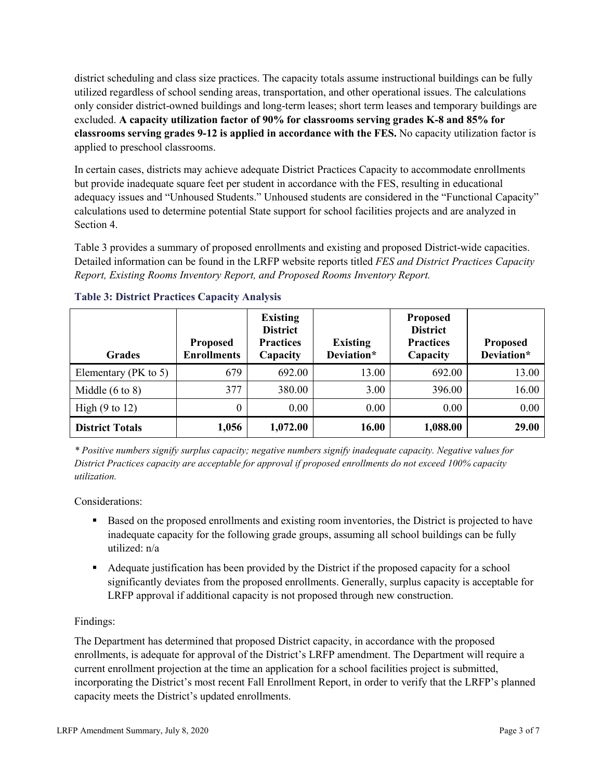district scheduling and class size practices. The capacity totals assume instructional buildings can be fully utilized regardless of school sending areas, transportation, and other operational issues. The calculations only consider district-owned buildings and long-term leases; short term leases and temporary buildings are excluded. **A capacity utilization factor of 90% for classrooms serving grades K-8 and 85% for classrooms serving grades 9-12 is applied in accordance with the FES.** No capacity utilization factor is applied to preschool classrooms.

In certain cases, districts may achieve adequate District Practices Capacity to accommodate enrollments but provide inadequate square feet per student in accordance with the FES, resulting in educational adequacy issues and "Unhoused Students." Unhoused students are considered in the "Functional Capacity" calculations used to determine potential State support for school facilities projects and are analyzed in Section 4.

Table 3 provides a summary of proposed enrollments and existing and proposed District-wide capacities. Detailed information can be found in the LRFP website reports titled *FES and District Practices Capacity Report, Existing Rooms Inventory Report, and Proposed Rooms Inventory Report.*

| <b>Grades</b>              | <b>Proposed</b><br><b>Enrollments</b> | <b>Existing</b><br><b>District</b><br><b>Practices</b><br>Capacity | <b>Existing</b><br>Deviation* | <b>Proposed</b><br><b>District</b><br><b>Practices</b><br>Capacity | <b>Proposed</b><br>Deviation* |
|----------------------------|---------------------------------------|--------------------------------------------------------------------|-------------------------------|--------------------------------------------------------------------|-------------------------------|
| Elementary ( $PK$ to 5)    | 679                                   | 692.00                                                             | 13.00                         | 692.00                                                             | 13.00                         |
| Middle $(6 \text{ to } 8)$ | 377                                   | 380.00                                                             | 3.00                          | 396.00                                                             | 16.00                         |
| High $(9 \text{ to } 12)$  | 0                                     | 0.00                                                               | 0.00                          | 0.00                                                               | 0.00                          |
| <b>District Totals</b>     | 1,056                                 | 1,072.00                                                           | 16.00                         | 1,088.00                                                           | 29.00                         |

# **Table 3: District Practices Capacity Analysis**

*\* Positive numbers signify surplus capacity; negative numbers signify inadequate capacity. Negative values for District Practices capacity are acceptable for approval if proposed enrollments do not exceed 100% capacity utilization.*

Considerations:

- Based on the proposed enrollments and existing room inventories, the District is projected to have inadequate capacity for the following grade groups, assuming all school buildings can be fully utilized: n/a
- Adequate justification has been provided by the District if the proposed capacity for a school significantly deviates from the proposed enrollments. Generally, surplus capacity is acceptable for LRFP approval if additional capacity is not proposed through new construction.

# Findings:

The Department has determined that proposed District capacity, in accordance with the proposed enrollments, is adequate for approval of the District's LRFP amendment. The Department will require a current enrollment projection at the time an application for a school facilities project is submitted, incorporating the District's most recent Fall Enrollment Report, in order to verify that the LRFP's planned capacity meets the District's updated enrollments.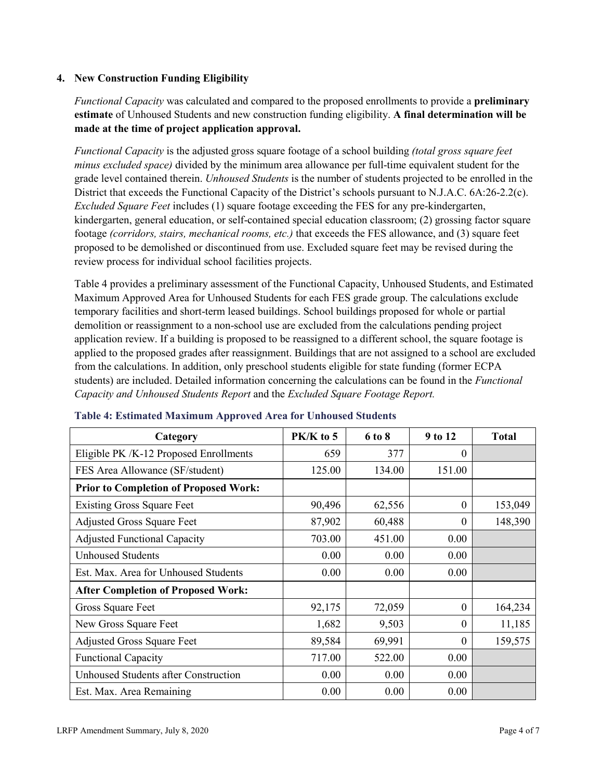### **4. New Construction Funding Eligibility**

*Functional Capacity* was calculated and compared to the proposed enrollments to provide a **preliminary estimate** of Unhoused Students and new construction funding eligibility. **A final determination will be made at the time of project application approval.**

*Functional Capacity* is the adjusted gross square footage of a school building *(total gross square feet minus excluded space)* divided by the minimum area allowance per full-time equivalent student for the grade level contained therein. *Unhoused Students* is the number of students projected to be enrolled in the District that exceeds the Functional Capacity of the District's schools pursuant to N.J.A.C. 6A:26-2.2(c). *Excluded Square Feet* includes (1) square footage exceeding the FES for any pre-kindergarten, kindergarten, general education, or self-contained special education classroom; (2) grossing factor square footage *(corridors, stairs, mechanical rooms, etc.)* that exceeds the FES allowance, and (3) square feet proposed to be demolished or discontinued from use. Excluded square feet may be revised during the review process for individual school facilities projects.

Table 4 provides a preliminary assessment of the Functional Capacity, Unhoused Students, and Estimated Maximum Approved Area for Unhoused Students for each FES grade group. The calculations exclude temporary facilities and short-term leased buildings. School buildings proposed for whole or partial demolition or reassignment to a non-school use are excluded from the calculations pending project application review. If a building is proposed to be reassigned to a different school, the square footage is applied to the proposed grades after reassignment. Buildings that are not assigned to a school are excluded from the calculations. In addition, only preschool students eligible for state funding (former ECPA students) are included. Detailed information concerning the calculations can be found in the *Functional Capacity and Unhoused Students Report* and the *Excluded Square Footage Report.*

| Category                                     | PK/K to 5 | 6 to 8 | 9 to 12  | <b>Total</b> |
|----------------------------------------------|-----------|--------|----------|--------------|
| Eligible PK /K-12 Proposed Enrollments       | 659       | 377    | 0        |              |
| FES Area Allowance (SF/student)              | 125.00    | 134.00 | 151.00   |              |
| <b>Prior to Completion of Proposed Work:</b> |           |        |          |              |
| <b>Existing Gross Square Feet</b>            | 90,496    | 62,556 | $\theta$ | 153,049      |
| <b>Adjusted Gross Square Feet</b>            | 87,902    | 60,488 | $\theta$ | 148,390      |
| <b>Adjusted Functional Capacity</b>          | 703.00    | 451.00 | 0.00     |              |
| <b>Unhoused Students</b>                     | 0.00      | 0.00   | 0.00     |              |
| Est. Max. Area for Unhoused Students         | 0.00      | 0.00   | 0.00     |              |
| <b>After Completion of Proposed Work:</b>    |           |        |          |              |
| Gross Square Feet                            | 92,175    | 72,059 | $\theta$ | 164,234      |
| New Gross Square Feet                        | 1,682     | 9,503  | $\theta$ | 11,185       |
| <b>Adjusted Gross Square Feet</b>            | 89,584    | 69,991 | $\Omega$ | 159,575      |
| <b>Functional Capacity</b>                   | 717.00    | 522.00 | 0.00     |              |
| <b>Unhoused Students after Construction</b>  | 0.00      | 0.00   | 0.00     |              |
| Est. Max. Area Remaining                     | 0.00      | 0.00   | 0.00     |              |

#### **Table 4: Estimated Maximum Approved Area for Unhoused Students**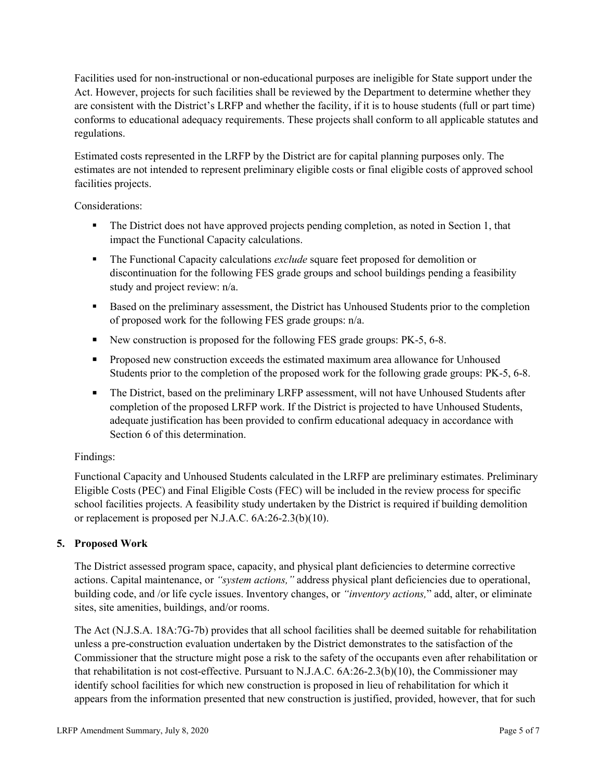Facilities used for non-instructional or non-educational purposes are ineligible for State support under the Act. However, projects for such facilities shall be reviewed by the Department to determine whether they are consistent with the District's LRFP and whether the facility, if it is to house students (full or part time) conforms to educational adequacy requirements. These projects shall conform to all applicable statutes and regulations.

Estimated costs represented in the LRFP by the District are for capital planning purposes only. The estimates are not intended to represent preliminary eligible costs or final eligible costs of approved school facilities projects.

Considerations:

- The District does not have approved projects pending completion, as noted in Section 1, that impact the Functional Capacity calculations.
- **The Functional Capacity calculations** *exclude* square feet proposed for demolition or discontinuation for the following FES grade groups and school buildings pending a feasibility study and project review: n/a.
- Based on the preliminary assessment, the District has Unhoused Students prior to the completion of proposed work for the following FES grade groups: n/a.
- New construction is proposed for the following FES grade groups: PK-5, 6-8.
- Proposed new construction exceeds the estimated maximum area allowance for Unhoused Students prior to the completion of the proposed work for the following grade groups: PK-5, 6-8.
- The District, based on the preliminary LRFP assessment, will not have Unhoused Students after completion of the proposed LRFP work. If the District is projected to have Unhoused Students, adequate justification has been provided to confirm educational adequacy in accordance with Section 6 of this determination.

# Findings:

Functional Capacity and Unhoused Students calculated in the LRFP are preliminary estimates. Preliminary Eligible Costs (PEC) and Final Eligible Costs (FEC) will be included in the review process for specific school facilities projects. A feasibility study undertaken by the District is required if building demolition or replacement is proposed per N.J.A.C. 6A:26-2.3(b)(10).

# **5. Proposed Work**

The District assessed program space, capacity, and physical plant deficiencies to determine corrective actions. Capital maintenance, or *"system actions,"* address physical plant deficiencies due to operational, building code, and /or life cycle issues. Inventory changes, or *"inventory actions,*" add, alter, or eliminate sites, site amenities, buildings, and/or rooms.

The Act (N.J.S.A. 18A:7G-7b) provides that all school facilities shall be deemed suitable for rehabilitation unless a pre-construction evaluation undertaken by the District demonstrates to the satisfaction of the Commissioner that the structure might pose a risk to the safety of the occupants even after rehabilitation or that rehabilitation is not cost-effective. Pursuant to N.J.A.C. 6A:26-2.3(b)(10), the Commissioner may identify school facilities for which new construction is proposed in lieu of rehabilitation for which it appears from the information presented that new construction is justified, provided, however, that for such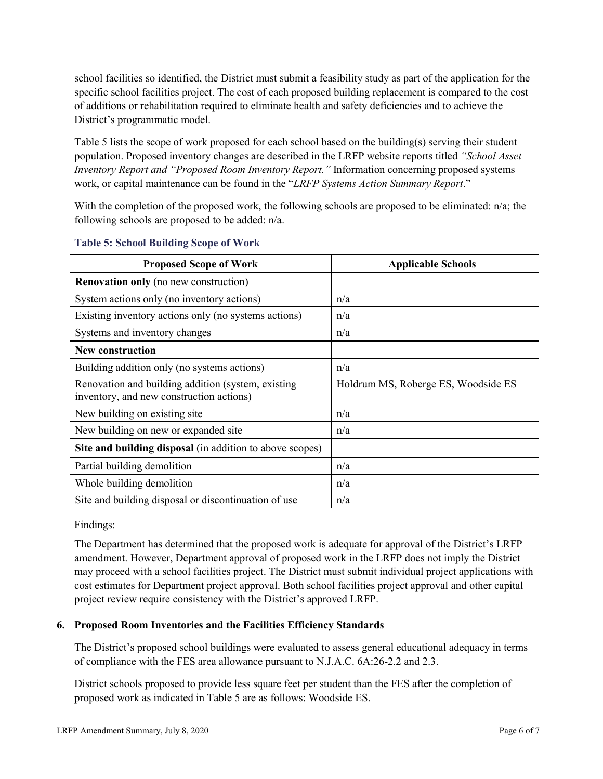school facilities so identified, the District must submit a feasibility study as part of the application for the specific school facilities project. The cost of each proposed building replacement is compared to the cost of additions or rehabilitation required to eliminate health and safety deficiencies and to achieve the District's programmatic model.

Table 5 lists the scope of work proposed for each school based on the building(s) serving their student population. Proposed inventory changes are described in the LRFP website reports titled *"School Asset Inventory Report and "Proposed Room Inventory Report."* Information concerning proposed systems work, or capital maintenance can be found in the "*LRFP Systems Action Summary Report*."

With the completion of the proposed work, the following schools are proposed to be eliminated: n/a; the following schools are proposed to be added: n/a.

| <b>Proposed Scope of Work</b>                                                                  | <b>Applicable Schools</b>           |
|------------------------------------------------------------------------------------------------|-------------------------------------|
| <b>Renovation only</b> (no new construction)                                                   |                                     |
| System actions only (no inventory actions)                                                     | n/a                                 |
| Existing inventory actions only (no systems actions)                                           | n/a                                 |
| Systems and inventory changes                                                                  | n/a                                 |
| New construction                                                                               |                                     |
| Building addition only (no systems actions)                                                    | n/a                                 |
| Renovation and building addition (system, existing<br>inventory, and new construction actions) | Holdrum MS, Roberge ES, Woodside ES |
| New building on existing site                                                                  | n/a                                 |
| New building on new or expanded site                                                           | n/a                                 |
| Site and building disposal (in addition to above scopes)                                       |                                     |
| Partial building demolition                                                                    | n/a                                 |
| Whole building demolition                                                                      | n/a                                 |
| Site and building disposal or discontinuation of use                                           | n/a                                 |

### **Table 5: School Building Scope of Work**

Findings:

The Department has determined that the proposed work is adequate for approval of the District's LRFP amendment. However, Department approval of proposed work in the LRFP does not imply the District may proceed with a school facilities project. The District must submit individual project applications with cost estimates for Department project approval. Both school facilities project approval and other capital project review require consistency with the District's approved LRFP.

# **6. Proposed Room Inventories and the Facilities Efficiency Standards**

The District's proposed school buildings were evaluated to assess general educational adequacy in terms of compliance with the FES area allowance pursuant to N.J.A.C. 6A:26-2.2 and 2.3.

District schools proposed to provide less square feet per student than the FES after the completion of proposed work as indicated in Table 5 are as follows: Woodside ES.